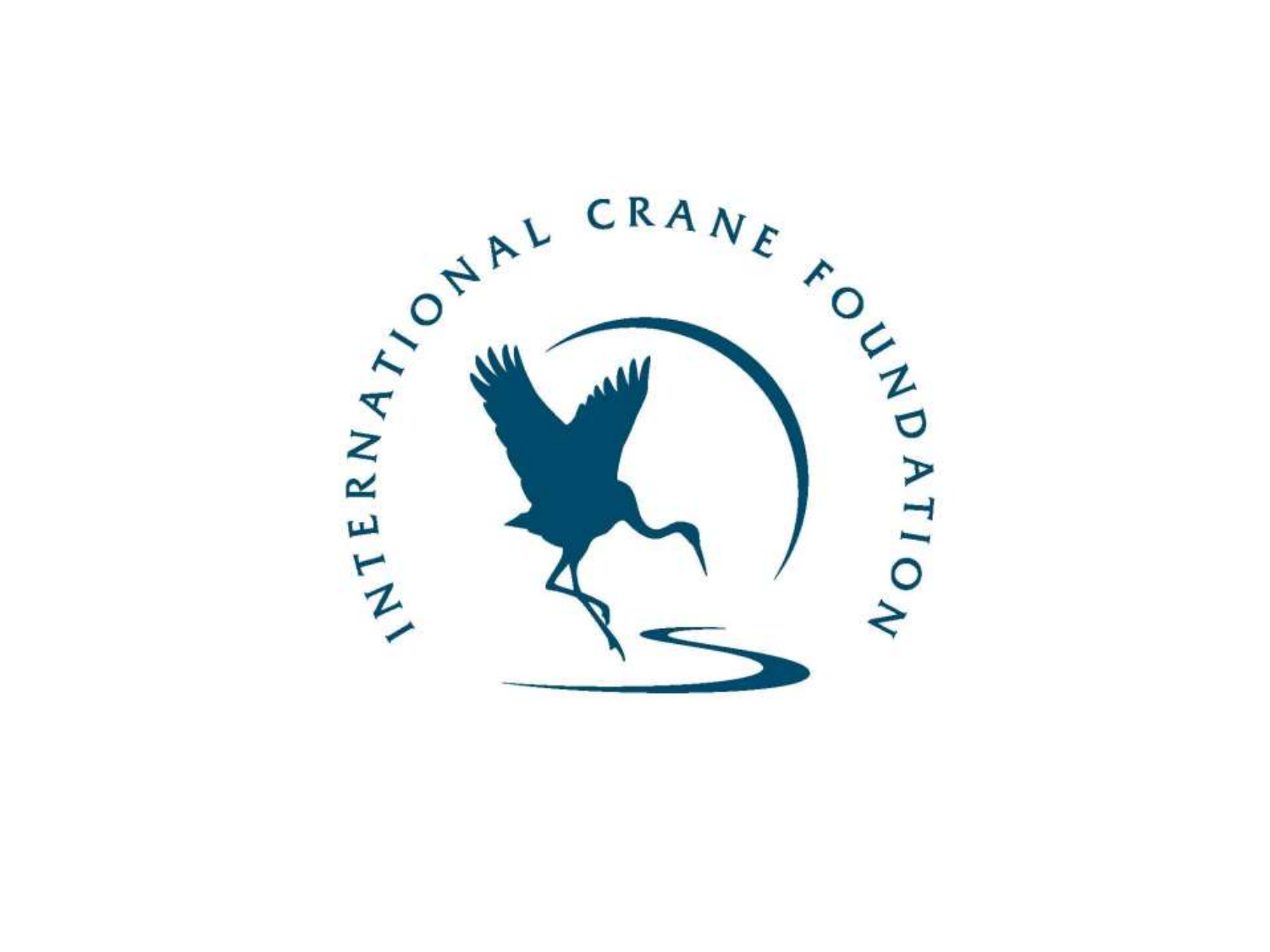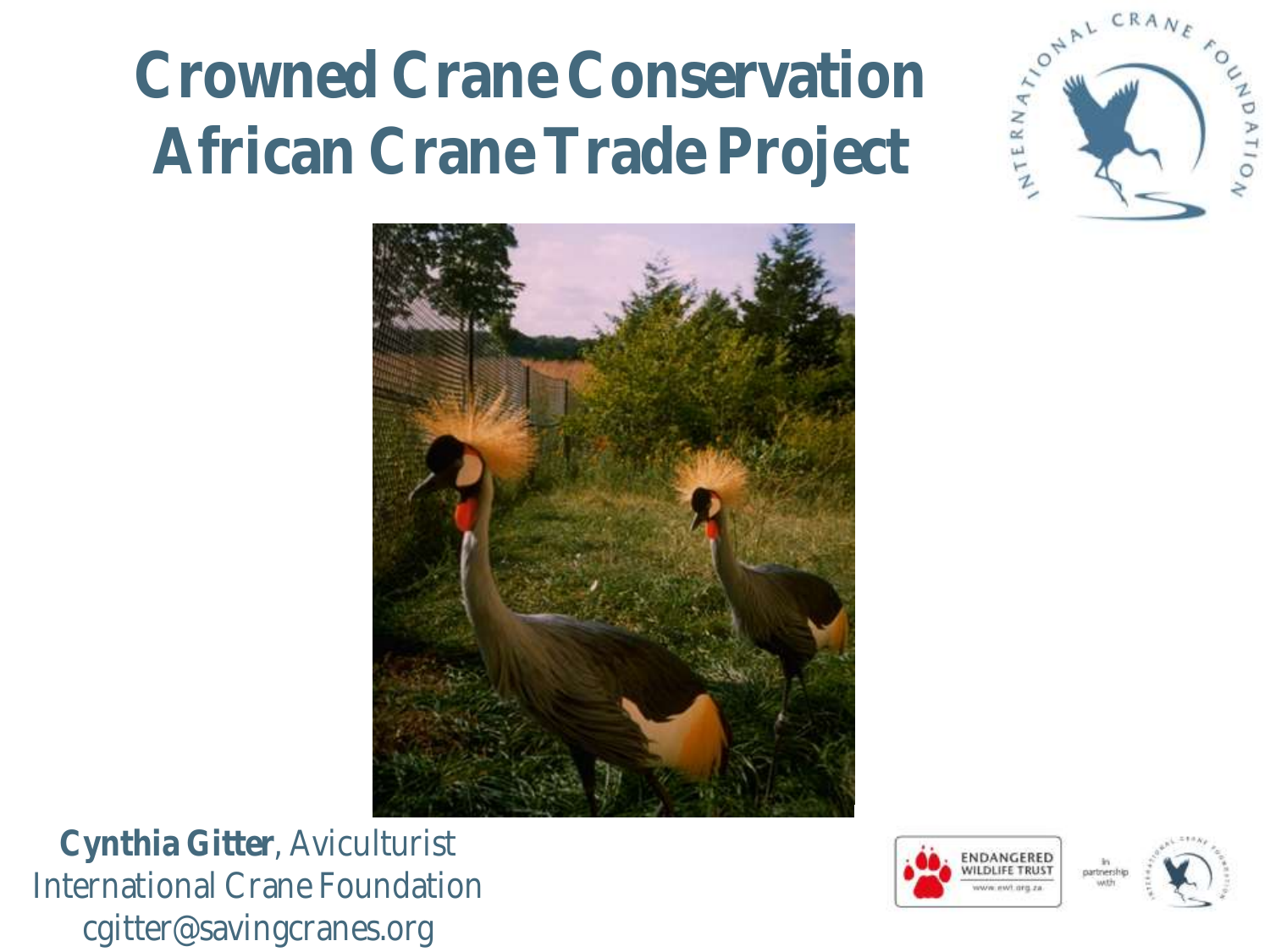# **Crowned Crane Conservation African Crane Trade Project**



**Cynthia Gitter**, Aviculturist International Crane Foundation cgitter@savingcranes.org





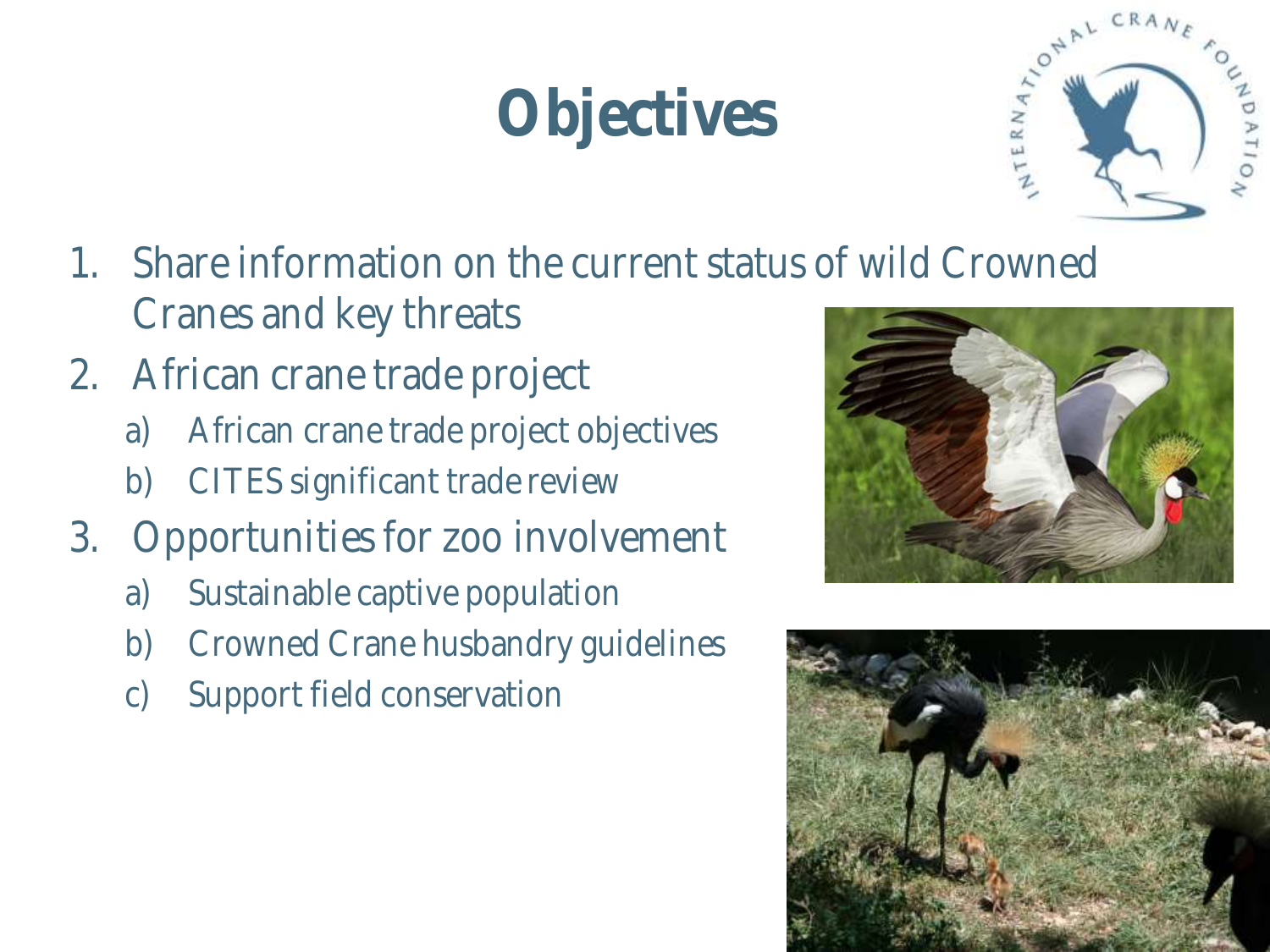#### Please Read before using **Objectives**



- 1. Share information on the current status of wild Crowned Cranes and key threats
- 2. African crane trade project
	- a) African crane trade project objectives
	- b) CITES significant trade review
- 3. Opportunities for zoo involvement
	- a) Sustainable captive population
	- b) Crowned Crane husbandry guidelines
	- c) Support field conservation



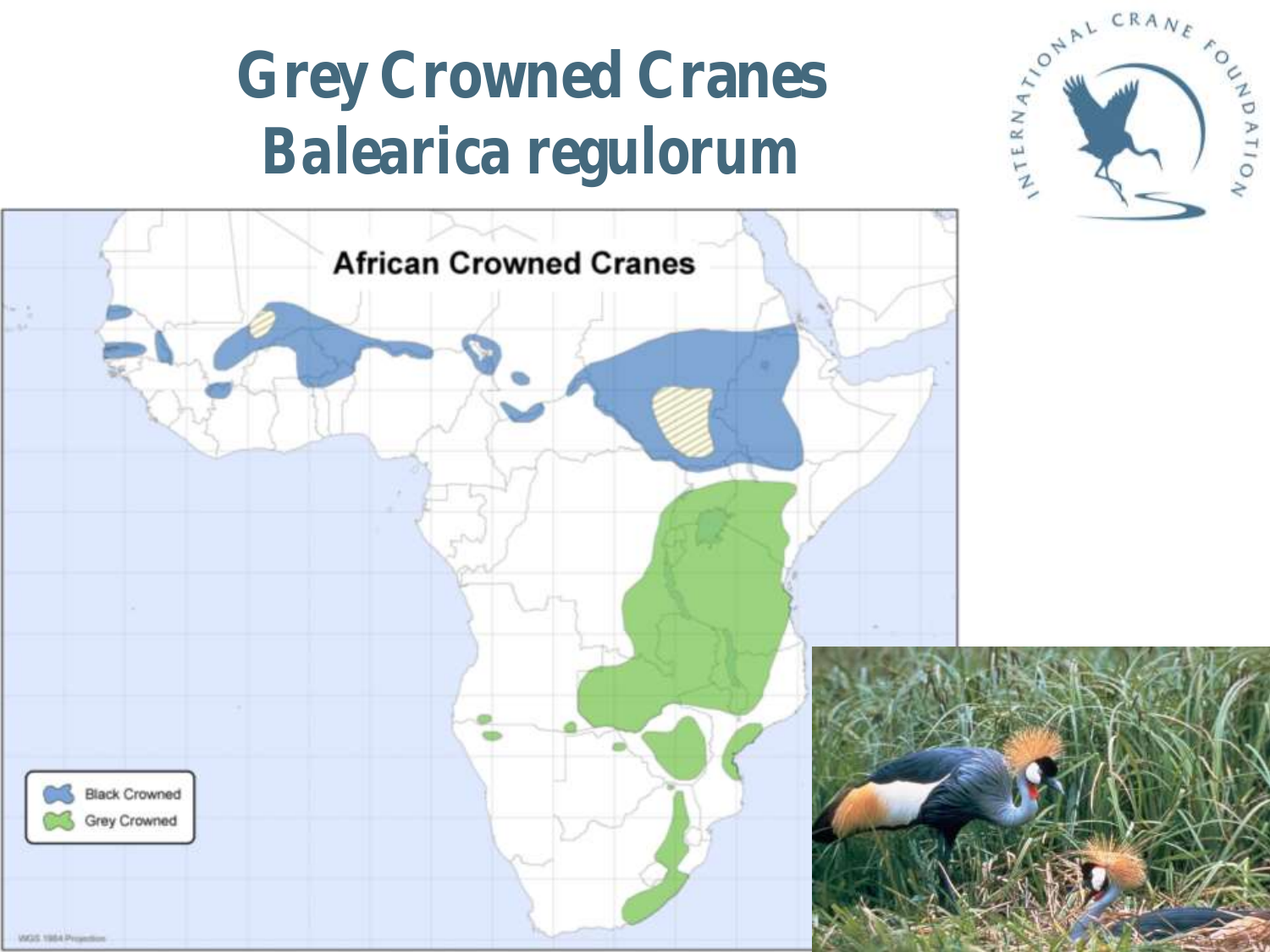### **Grey Crowned Cranes** *Balearica regulorum*



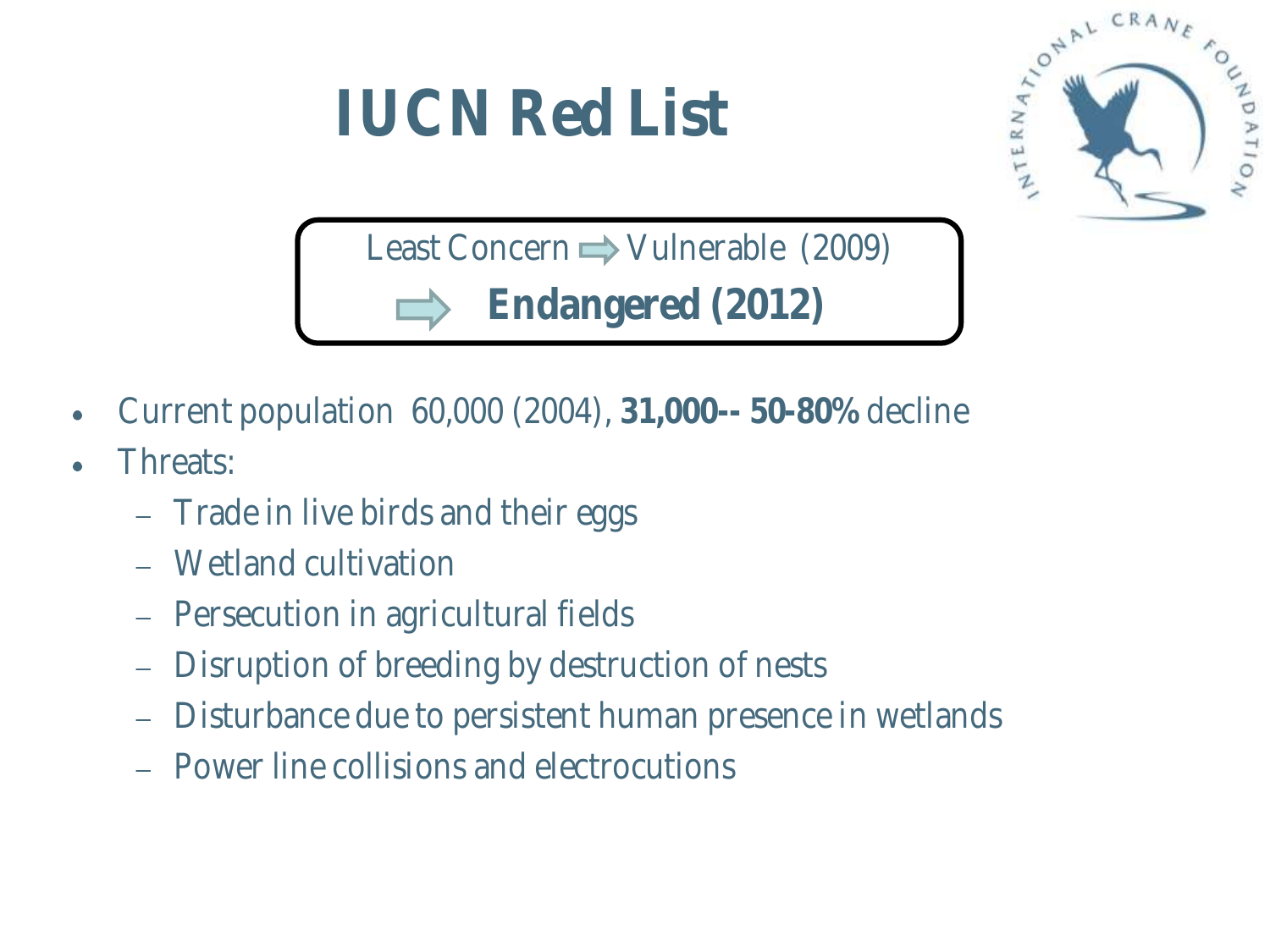#### Please Read before using **IUCN Red List**



Least Concern  $\rightarrow$  Vulnerable (2009) **Endangered (2012)**

- Current population 60,000 (2004), **31,000-- 50-80%** decline  $\bullet$
- Threats:
	- Trade in live birds and their eggs
	- Wetland cultivation
	- Persecution in agricultural fields
	- Disruption of breeding by destruction of nests
	- Disturbance due to persistent human presence in wetlands
	- Power line collisions and electrocutions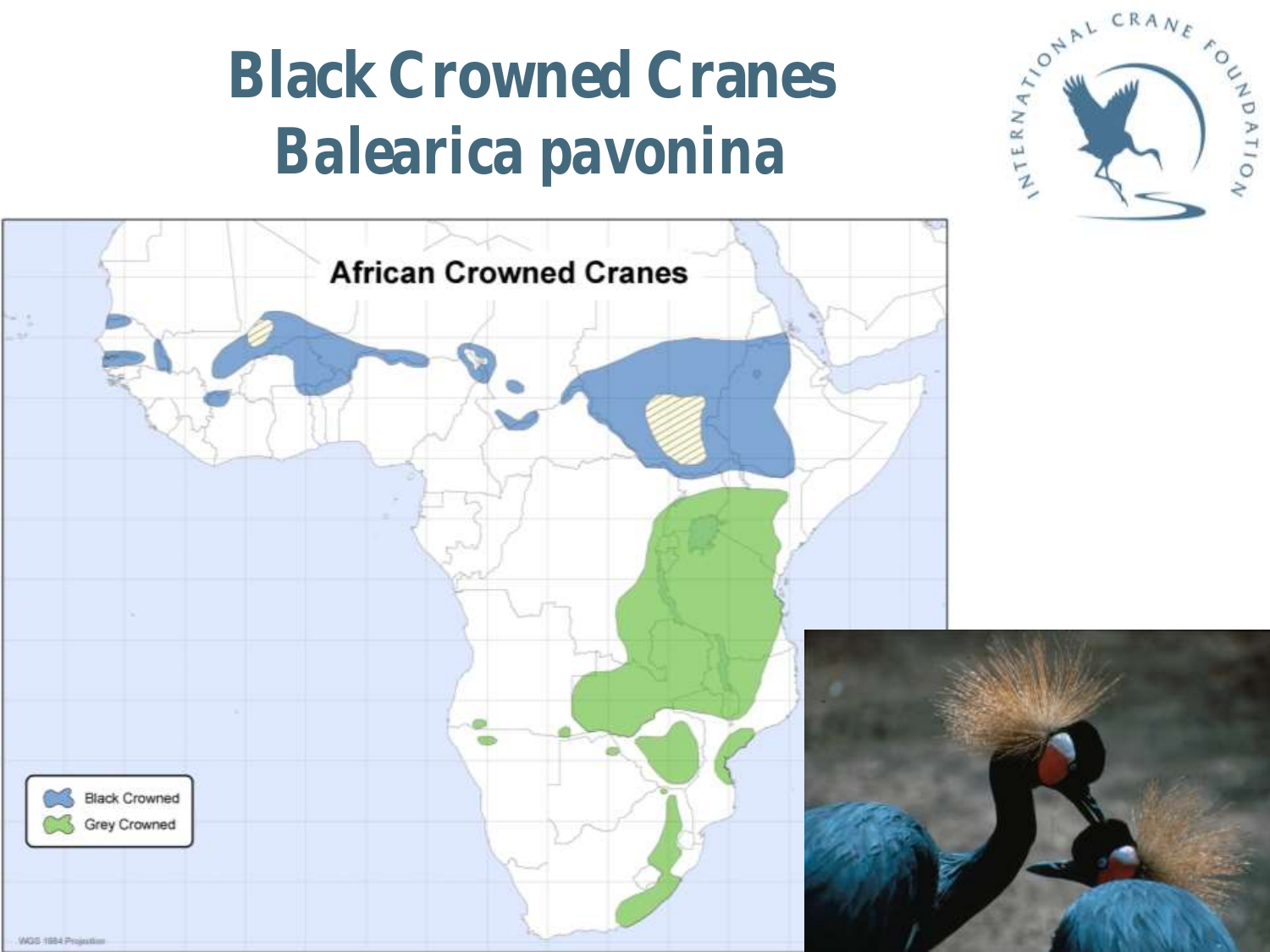### **Black Crowned Cranes** *Balearica pavonina*



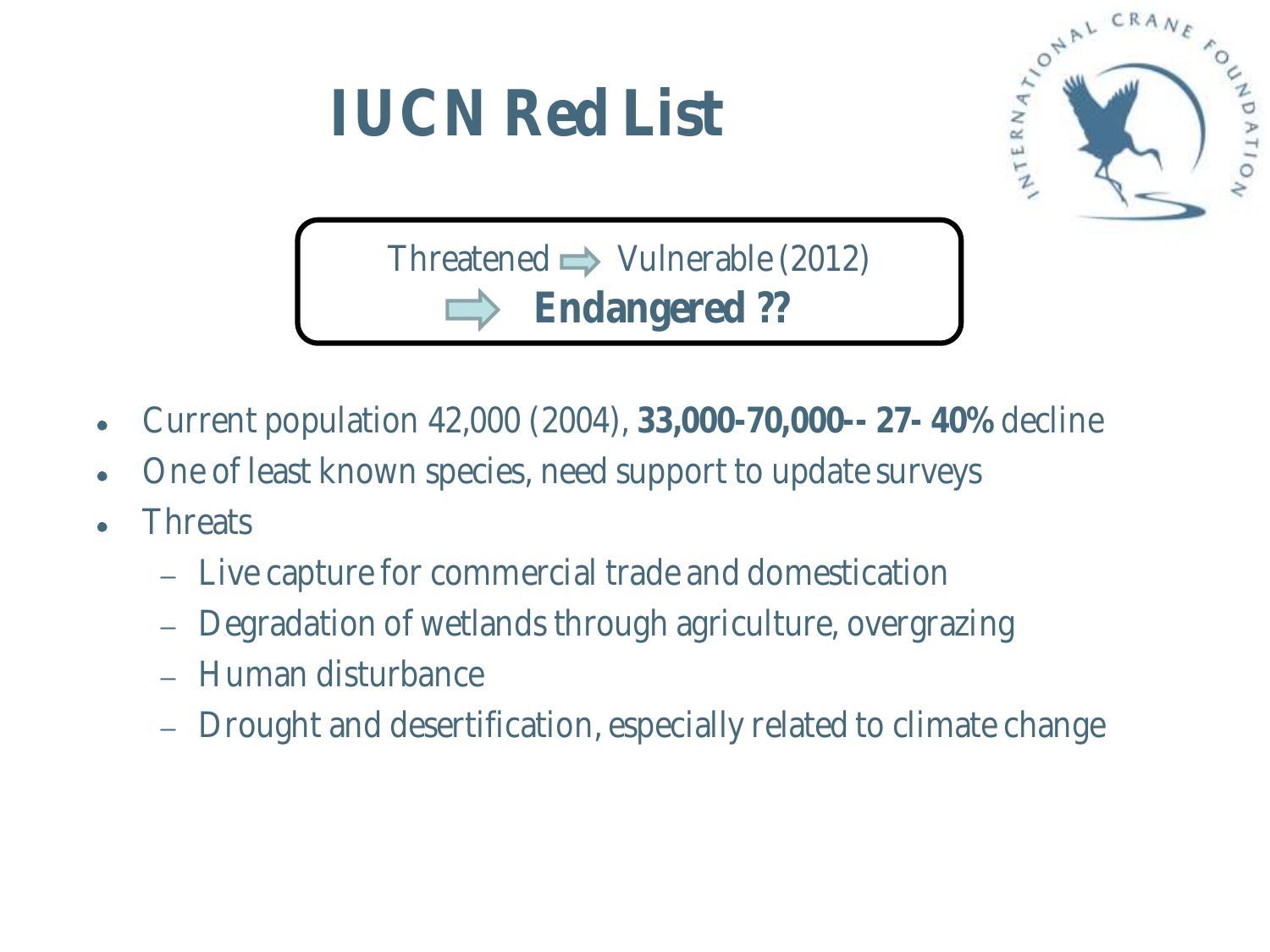

- Current population 42,000 (2004), **33,000-70,000-- 27- 40%** decline
- One of least known species, need support to update surveys
- **Threats** 
	- Live capture for commercial trade and domestication
	- Degradation of wetlands through agriculture, overgrazing
	- Human disturbance
	- Drought and desertification, especially related to climate change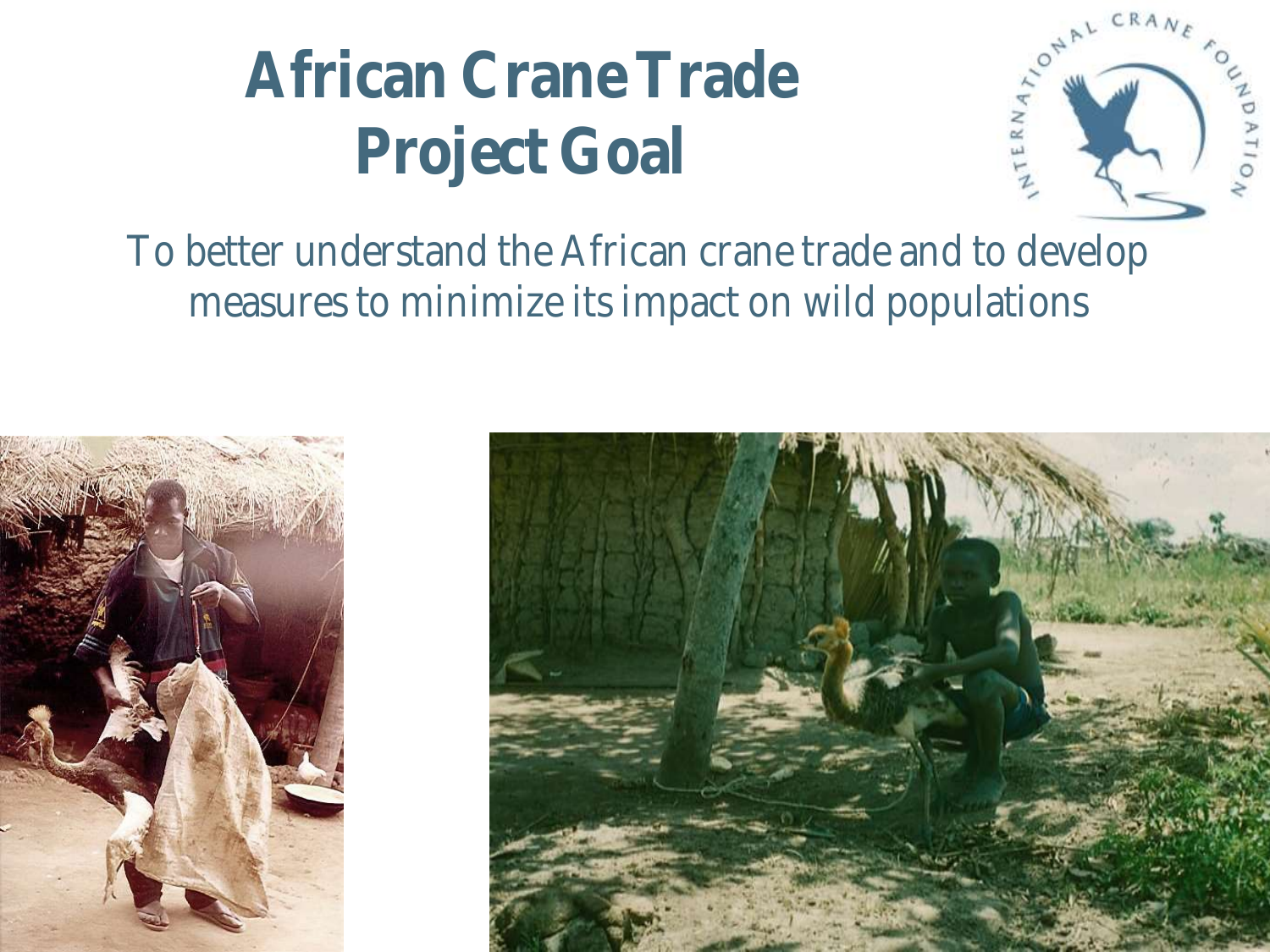### **African Crane Trade Project Goal**



To better understand the African crane trade and to develop measures to minimize its impact on wild populations



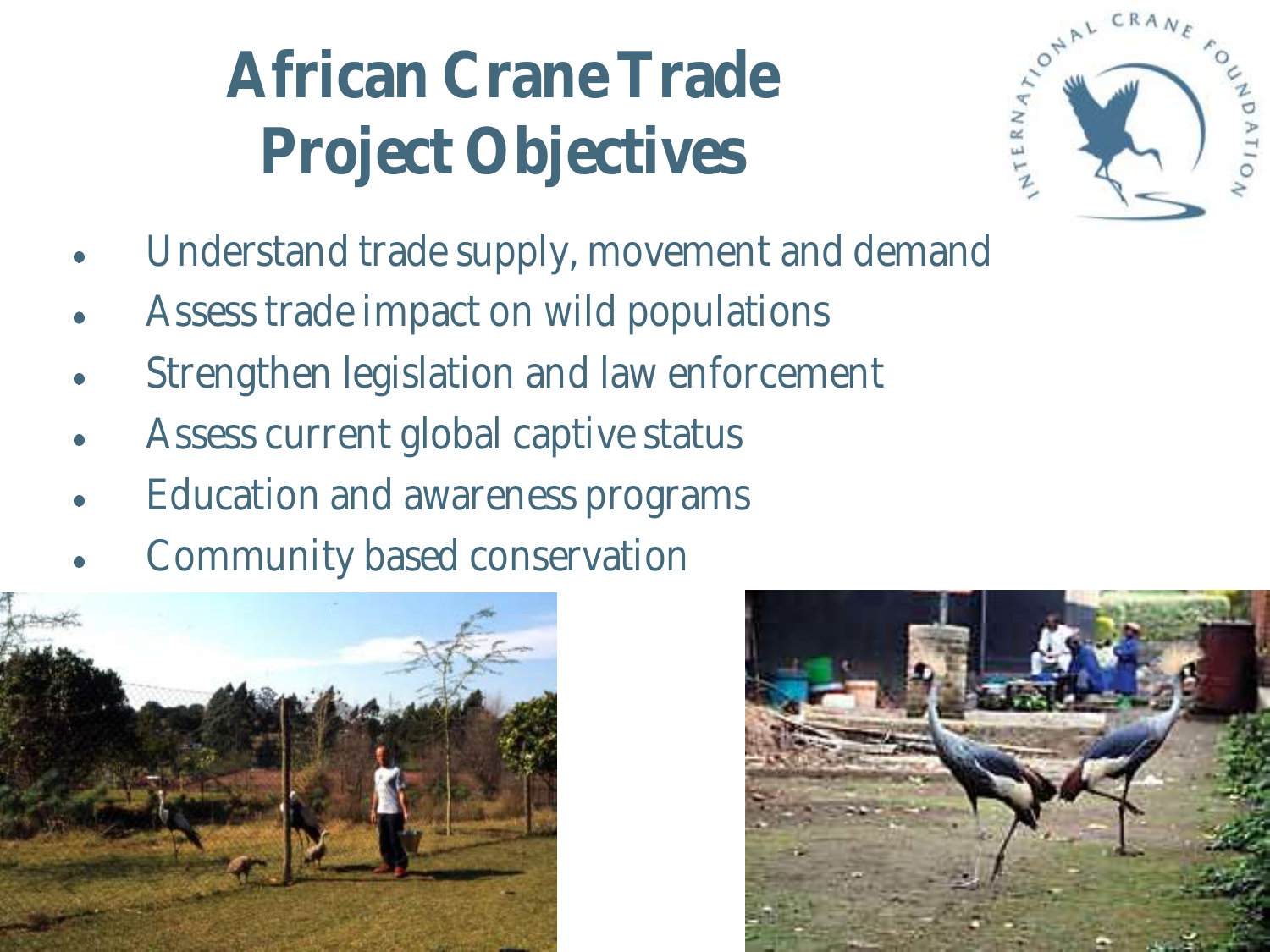# **African Crane Trade Project Objectives**



- Understand trade supply, movement and demand
- Assess trade impact on wild populations
- Strengthen legislation and law enforcement
- Assess current global captive status
- Education and awareness programs
- Community based conservation



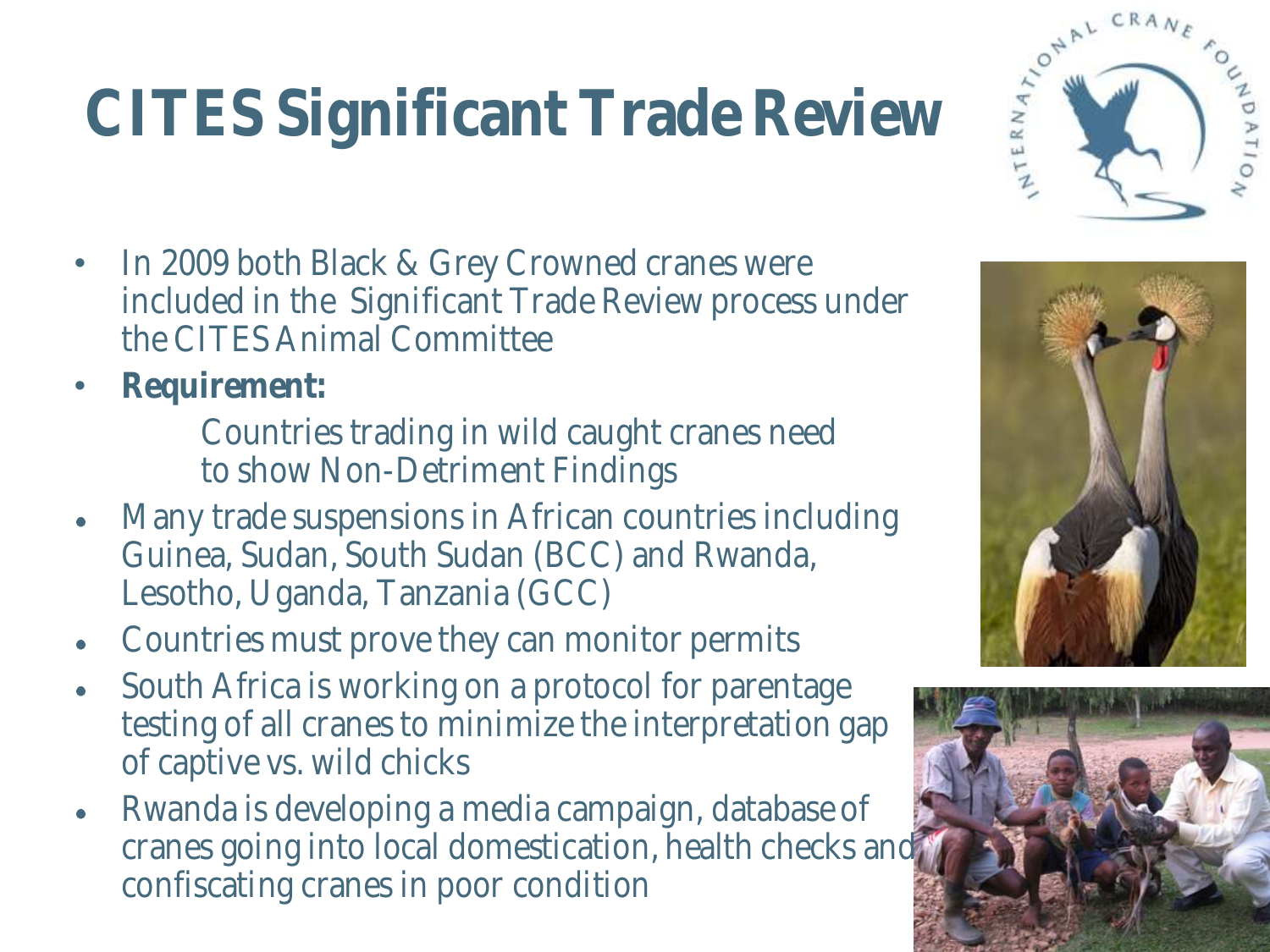#### Please Read before using **CITES Significant Trade Review**

- In 2009 both Black & Grey Crowned cranes were included in the Significant Trade Review process under the CITES Animal Committee
- **Requirement:** 
	- Countries trading in wild caught cranes need to show Non-Detriment Findings
- Many trade suspensions in African countries including  $\bullet$ Guinea, Sudan, South Sudan (BCC) and Rwanda, Lesotho, Uganda, Tanzania (GCC)
- Countries must prove they can monitor permits  $\bullet$
- South Africa is working on a protocol for parentage  $\bullet$ testing of all cranes to minimize the interpretation gap of captive vs. wild chicks
- Rwanda is developing a media campaign, database of cranes going into local domestication, health checks and confiscating cranes in poor condition





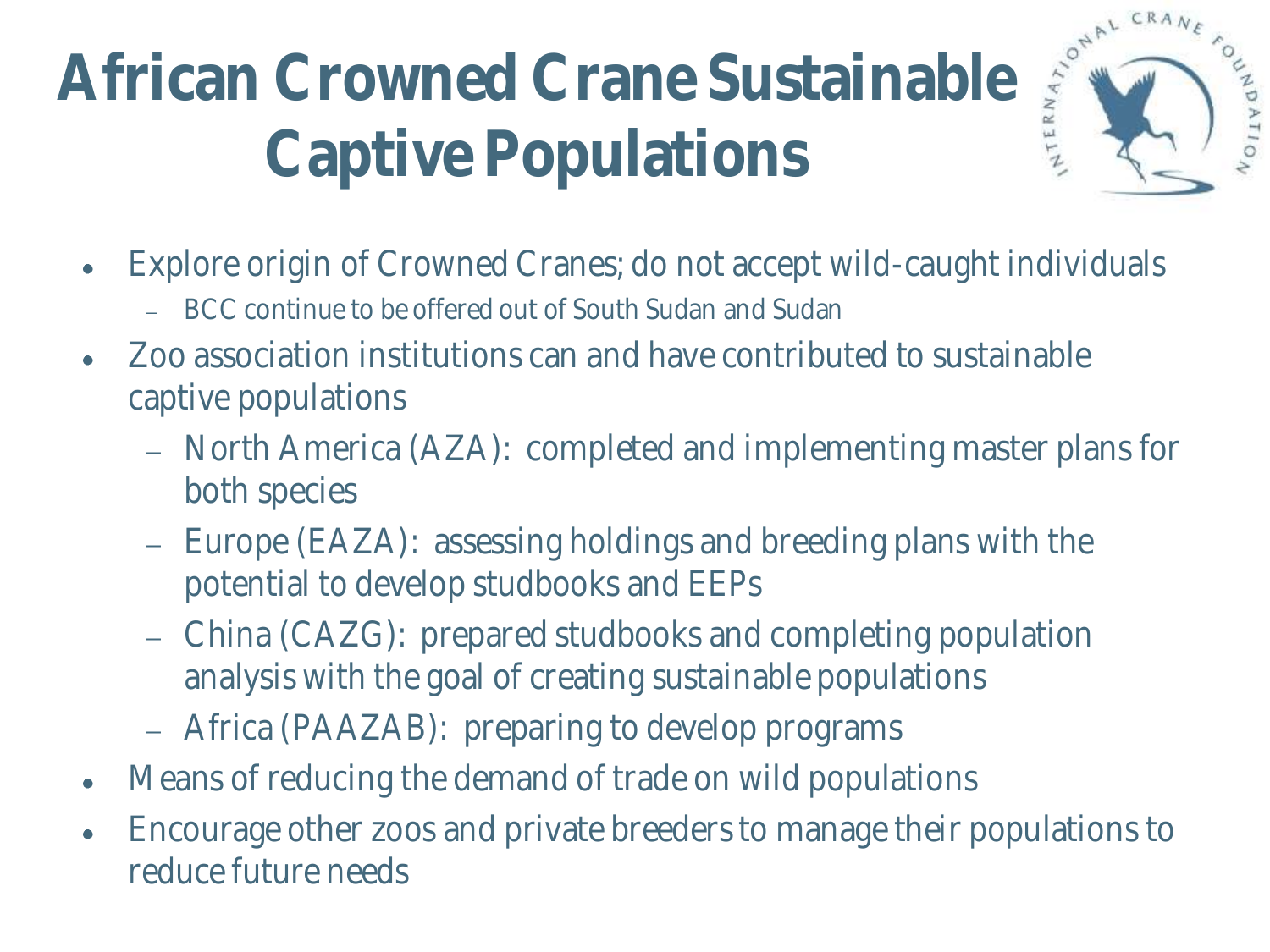# African Crowned Crane Sustainable **Captive Populations**



- Explore origin of Crowned Cranes; do not accept wild-caught individuals
	- BCC continue to be offered out of South Sudan and Sudan
- Zoo association institutions can and have contributed to sustainable captive populations
	- North America (AZA): completed and implementing master plans for both species
	- Europe (EAZA): assessing holdings and breeding plans with the potential to develop studbooks and EEPs
	- China (CAZG): prepared studbooks and completing population analysis with the goal of creating sustainable populations
	- Africa (PAAZAB): preparing to develop programs
- Means of reducing the demand of trade on wild populations
- Encourage other zoos and private breeders to manage their populations to reduce future needs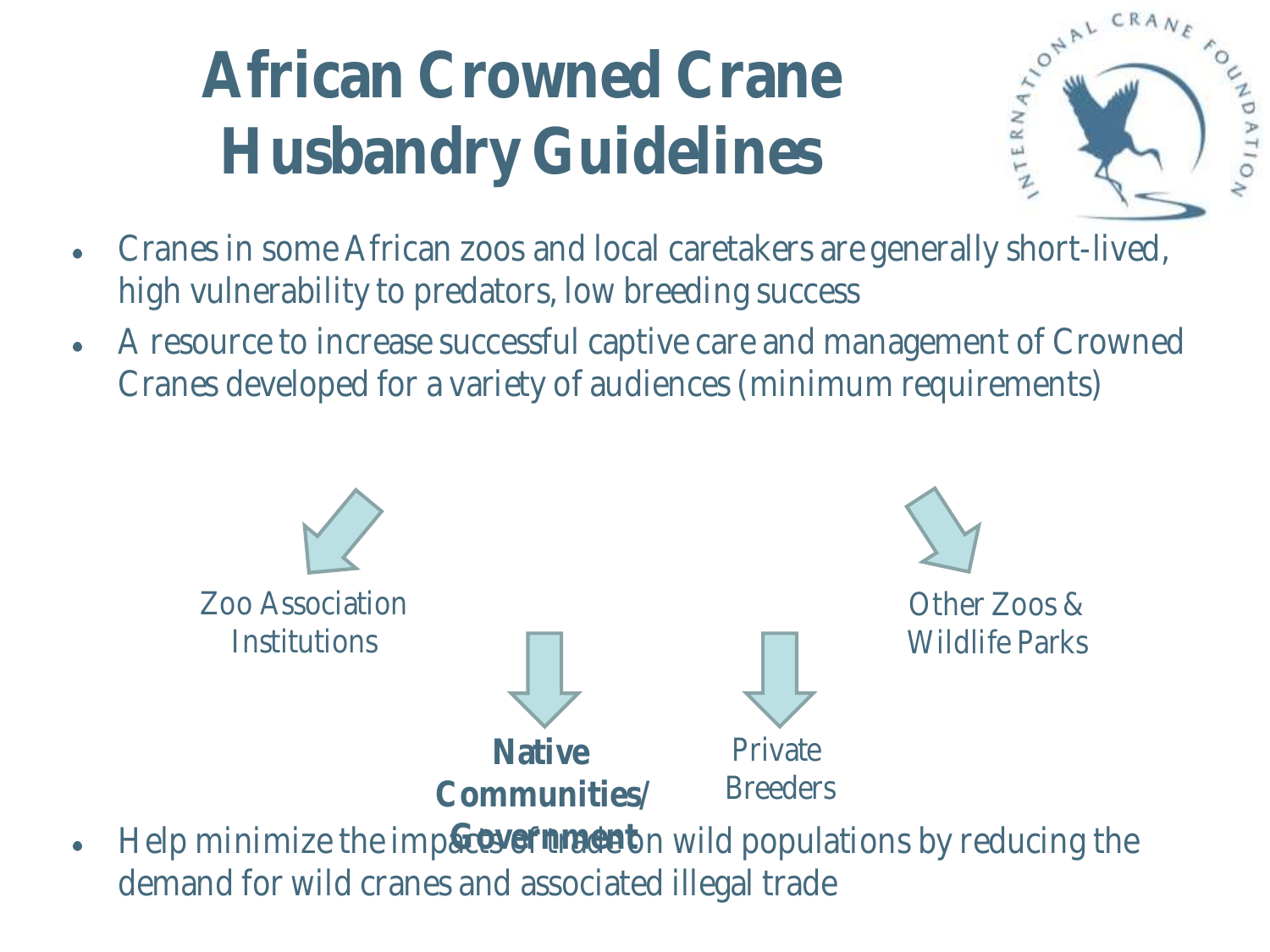# **African Crowned Crane Husbandry Guidelines**



- Cranes in some African zoos and local caretakers are generally short-lived,  $\bullet$ high vulnerability to predators, low breeding success
- A resource to increase successful captive care and management of Crowned  $\bullet$ Cranes developed for a variety of audiences (minimum requirements)



Help minimize the imp&covefterade on wild populations by reducing the  $\bullet$ demand for wild cranes and associated illegal trade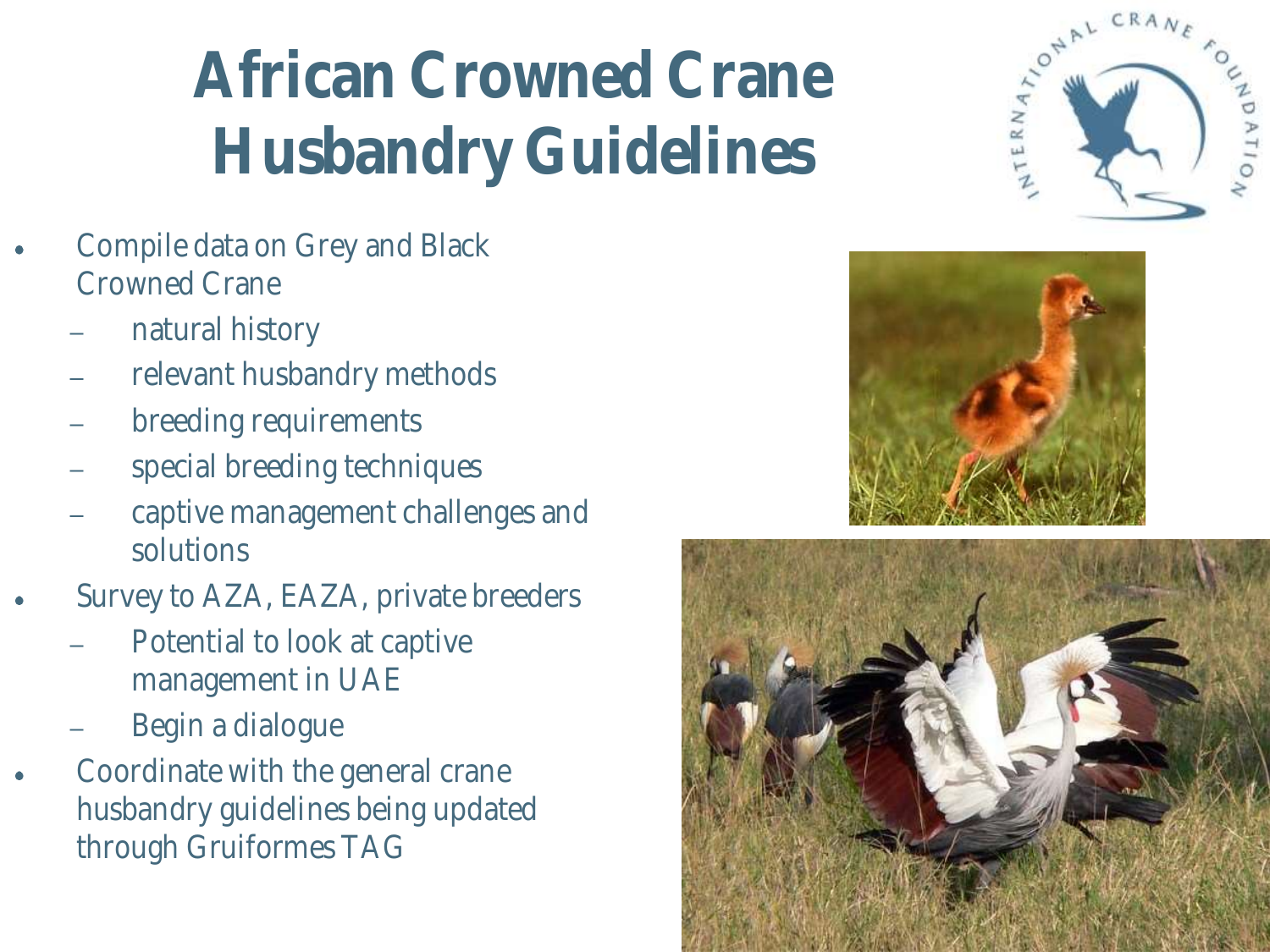# **African Crowned Crane Husbandry Guidelines**

- Compile data on Grey and Black Crowned Crane
	- natural history
	- relevant husbandry methods
	- breeding requirements
	- special breeding techniques
	- captive management challenges and solutions
- Survey to AZA, EAZA, private breeders
	- Potential to look at captive management in UAE
	- Begin a dialogue
- Coordinate with the general crane husbandry guidelines being updated through Gruiformes TAG





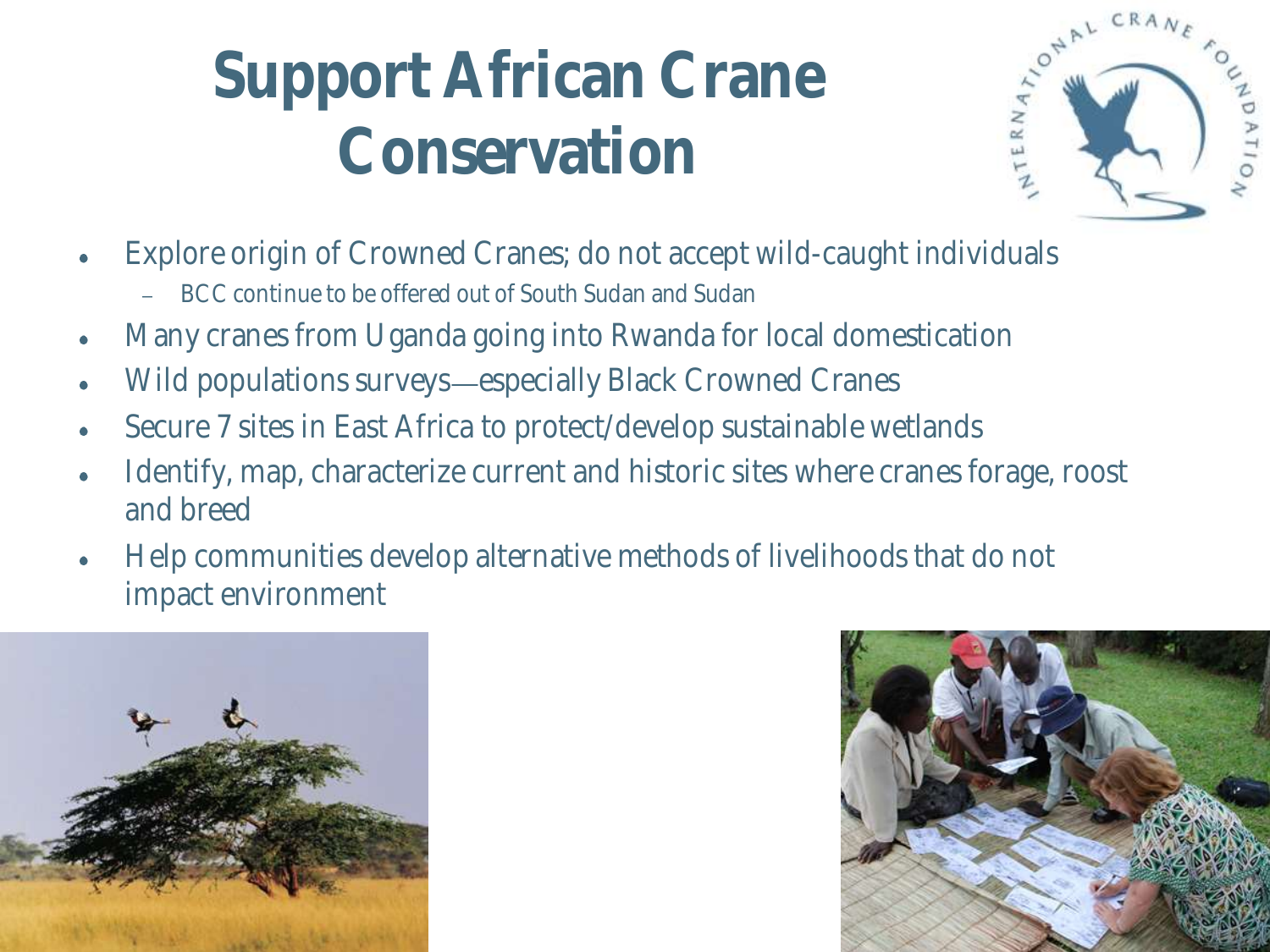### **Support African Crane Conservation**



- Explore origin of Crowned Cranes; do not accept wild-caught individuals
	- BCC continue to be offered out of South Sudan and Sudan
- Many cranes from Uganda going into Rwanda for local domestication
- Wild populations surveys—especially Black Crowned Cranes
- Secure 7 sites in East Africa to protect/develop sustainable wetlands
- Identify, map, characterize current and historic sites where cranes forage, roost and breed
- Help communities develop alternative methods of livelihoods that do not impact environment



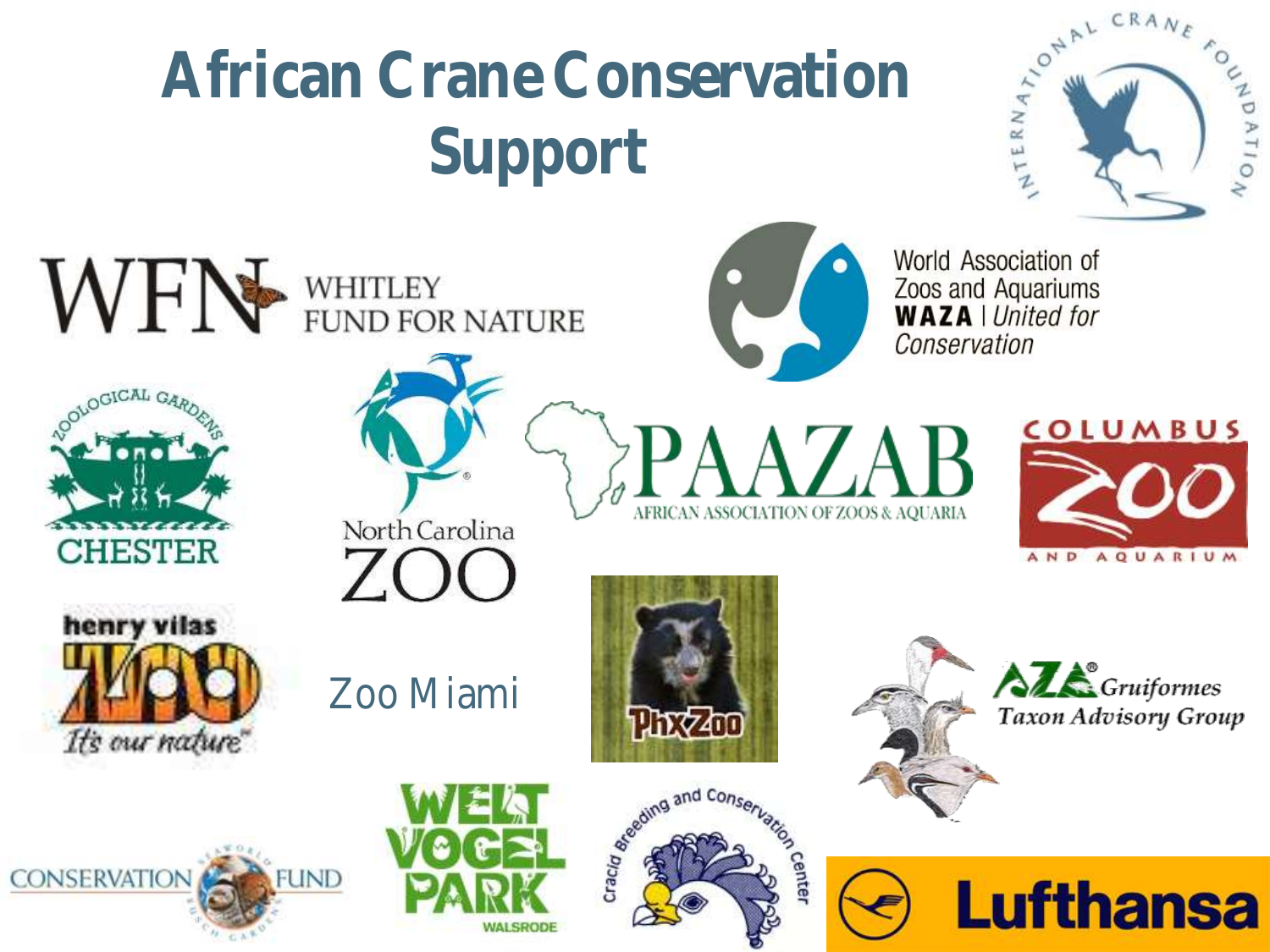# **African Crane Conservation Support**